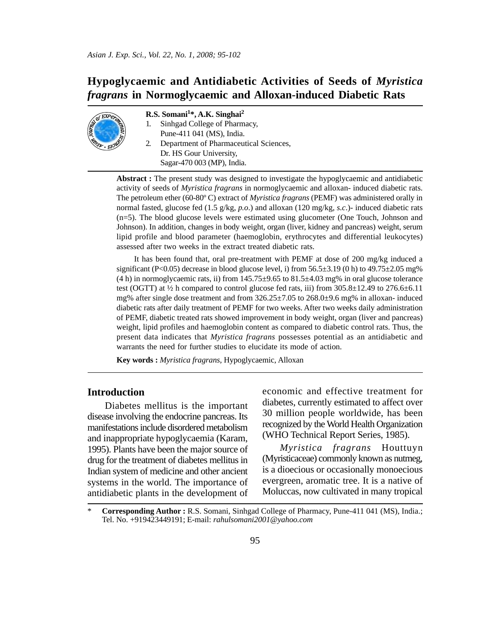# **Hypoglycaemic and Antidiabetic Activities of Seeds of** *Myristica fragrans* **in Normoglycaemic and Alloxan-induced Diabetic Rats**



#### **R.S. Somani1\*, A.K. Singhai2**

- 1. Sinhgad College of Pharmacy,
	- Pune-411 041 (MS), India.
- 2. Department of Pharmaceutical Sciences, Dr. HS Gour University, Sagar-470 003 (MP), India.

**Abstract :** The present study was designed to investigate the hypoglycaemic and antidiabetic activity of seeds of *Myristica fragrans* in normoglycaemic and alloxan- induced diabetic rats. The petroleum ether (60-80º C) extract of *Myristica fragrans* (PEMF) was administered orally in normal fasted, glucose fed (1.5 g/kg, *p.o*.) and alloxan (120 mg/kg, *s.c*.)- induced diabetic rats (n=5). The blood glucose levels were estimated using glucometer (One Touch, Johnson and Johnson). In addition, changes in body weight, organ (liver, kidney and pancreas) weight, serum lipid profile and blood parameter (haemoglobin, erythrocytes and differential leukocytes) assessed after two weeks in the extract treated diabetic rats.

It has been found that, oral pre-treatment with PEMF at dose of 200 mg/kg induced a significant (P<0.05) decrease in blood glucose level, i) from  $56.5\pm3.19$  (0 h) to  $49.75\pm2.05$  mg% (4 h) in normoglycaemic rats, ii) from  $145.75 \pm 9.65$  to  $81.5 \pm 4.03$  mg% in oral glucose tolerance test (OGTT) at  $\frac{1}{2}$  h compared to control glucose fed rats, iii) from 305.8 $\pm$ 12.49 to 276.6 $\pm$ 6.11 mg% after single dose treatment and from 326.25±7.05 to 268.0±9.6 mg% in alloxan- induced diabetic rats after daily treatment of PEMF for two weeks. After two weeks daily administration of PEMF, diabetic treated rats showed improvement in body weight, organ (liver and pancreas) weight, lipid profiles and haemoglobin content as compared to diabetic control rats. Thus, the present data indicates that *Myristica fragrans* possesses potential as an antidiabetic and warrants the need for further studies to elucidate its mode of action.

**Key words :** *Myristica fragrans*, Hypoglycaemic, Alloxan

# **Introduction**

Diabetes mellitus is the important disease involving the endocrine pancreas. Its manifestations include disordered metabolism and inappropriate hypoglycaemia (Karam, 1995). Plants have been the major source of drug for the treatment of diabetes mellitus in Indian system of medicine and other ancient systems in the world. The importance of antidiabetic plants in the development of economic and effective treatment for diabetes, currently estimated to affect over 30 million people worldwide, has been recognized by the World Health Organization (WHO Technical Report Series, 1985).

*Myristica fragrans* Houttuyn (Myristicaceae) commonly known as nutmeg, is a dioecious or occasionally monoecious evergreen, aromatic tree. It is a native of Moluccas, now cultivated in many tropical

<sup>\*</sup> **Corresponding Author :** R.S. Somani, Sinhgad College of Pharmacy, Pune-411 041 (MS), India.; Tel. No. +919423449191; E-mail: *rahulsomani2001@yahoo.com*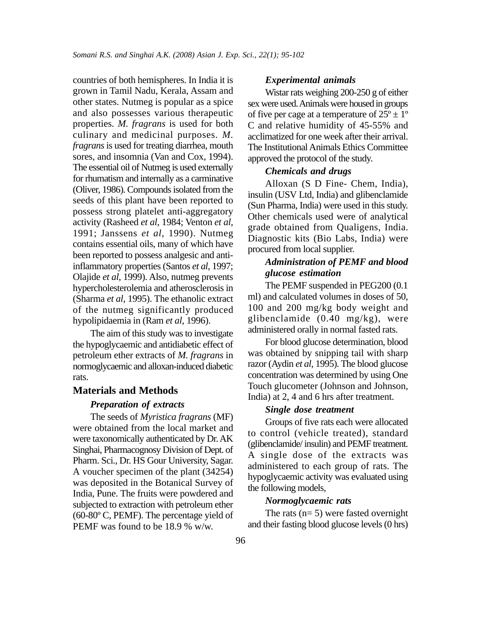countries of both hemispheres. In India it is grown in Tamil Nadu, Kerala, Assam and other states. Nutmeg is popular as a spice and also possesses various therapeutic properties. *M. fragrans* is used for both culinary and medicinal purposes. *M. fragrans* is used for treating diarrhea, mouth sores, and insomnia (Van and Cox, 1994). The essential oil of Nutmeg is used externally for rhumatism and internally as a carminative (Oliver, 1986). Compounds isolated from the seeds of this plant have been reported to possess strong platelet anti-aggregatory activity (Rasheed *et al*, 1984; Venton *et al*, 1991; Janssens *et al*, 1990). Nutmeg contains essential oils, many of which have been reported to possess analgesic and antiinflammatory properties (Santos *et al*, 1997; Olajide *et al*, 1999). Also, nutmeg prevents hypercholesterolemia and atherosclerosis in (Sharma *et al*, 1995). The ethanolic extract of the nutmeg significantly produced hypolipidaemia in (Ram *et al*, 1996).

The aim of this study was to investigate the hypoglycaemic and antidiabetic effect of petroleum ether extracts of *M. fragrans* in normoglycaemic and alloxan-induced diabetic rats.

### **Materials and Methods**

#### *Preparation of extracts*

The seeds of *Myristica fragrans* (MF) were obtained from the local market and were taxonomically authenticated by Dr. AK Singhai, Pharmacognosy Division of Dept. of Pharm. Sci., Dr. HS Gour University, Sagar. A voucher specimen of the plant (34254) was deposited in the Botanical Survey of India, Pune. The fruits were powdered and subjected to extraction with petroleum ether (60-80º C, PEMF). The percentage yield of PEMF was found to be 18.9 % w/w.

#### *Experimental animals*

Wistar rats weighing 200-250 g of either sex were used. Animals were housed in groups of five per cage at a temperature of  $25^{\circ} \pm 1^{\circ}$ C and relative humidity of 45-55% and acclimatized for one week after their arrival. The Institutional Animals Ethics Committee approved the protocol of the study.

### *Chemicals and drugs*

Alloxan (S D Fine- Chem, India), insulin (USV Ltd, India) and glibenclamide (Sun Pharma, India) were used in this study. Other chemicals used were of analytical grade obtained from Qualigens, India. Diagnostic kits (Bio Labs, India) were procured from local supplier.

# *Administration of PEMF and blood glucose estimation*

The PEMF suspended in PEG200 (0.1 ml) and calculated volumes in doses of 50, 100 and 200 mg/kg body weight and glibenclamide (0.40 mg/kg), were administered orally in normal fasted rats.

For blood glucose determination, blood was obtained by snipping tail with sharp razor (Aydin *et al*, 1995). The blood glucose concentration was determined by using One Touch glucometer (Johnson and Johnson, India) at 2, 4 and 6 hrs after treatment.

#### *Single dose treatment*

Groups of five rats each were allocated to control (vehicle treated), standard (glibenclamide/ insulin) and PEMF treatment. A single dose of the extracts was administered to each group of rats. The hypoglycaemic activity was evaluated using the following models,

#### *Normoglycaemic rats*

The rats  $(n= 5)$  were fasted overnight and their fasting blood glucose levels (0 hrs)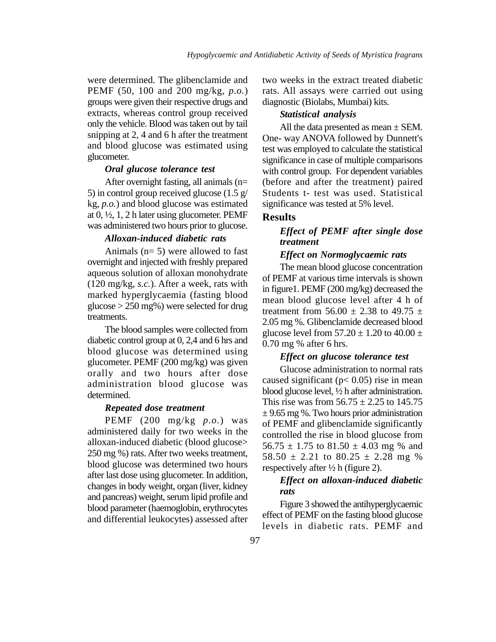were determined. The glibenclamide and PEMF (50, 100 and 200 mg/kg, *p.o.*) groups were given their respective drugs and extracts, whereas control group received only the vehicle. Blood was taken out by tail snipping at 2, 4 and 6 h after the treatment and blood glucose was estimated using glucometer.

### *Oral glucose tolerance test*

After overnight fasting, all animals (n= 5) in control group received glucose (1.5 g/ kg, *p.o.*) and blood glucose was estimated at 0, ½, 1, 2 h later using glucometer. PEMF was administered two hours prior to glucose.

# *Alloxan-induced diabetic rats*

Animals (n= 5) were allowed to fast overnight and injected with freshly prepared aqueous solution of alloxan monohydrate (120 mg/kg, *s.c.*). After a week, rats with marked hyperglycaemia (fasting blood glucose > 250 mg%) were selected for drug treatments.

The blood samples were collected from diabetic control group at 0, 2,4 and 6 hrs and blood glucose was determined using glucometer. PEMF (200 mg/kg) was given orally and two hours after dose administration blood glucose was determined.

#### *Repeated dose treatment*

PEMF (200 mg/kg *p.o.*) was administered daily for two weeks in the alloxan-induced diabetic (blood glucose> 250 mg %) rats. After two weeks treatment, blood glucose was determined two hours after last dose using glucometer. In addition, changes in body weight, organ (liver, kidney and pancreas) weight, serum lipid profile and blood parameter (haemoglobin, erythrocytes and differential leukocytes) assessed after two weeks in the extract treated diabetic rats. All assays were carried out using diagnostic (Biolabs, Mumbai) kits.

#### *Statistical analysis*

All the data presented as mean  $\pm$  SEM. One- way ANOVA followed by Dunnett's test was employed to calculate the statistical significance in case of multiple comparisons with control group. For dependent variables (before and after the treatment) paired Students t- test was used. Statistical significance was tested at 5% level.

### **Results**

# *Effect of PEMF after single dose treatment*

#### *Effect on Normoglycaemic rats*

The mean blood glucose concentration of PEMF at various time intervals is shown in figure1. PEMF (200 mg/kg) decreased the mean blood glucose level after 4 h of treatment from 56.00  $\pm$  2.38 to 49.75  $\pm$ 2.05 mg %. Glibenclamide decreased blood glucose level from  $57.20 \pm 1.20$  to  $40.00 \pm 1.20$ 0.70 mg % after 6 hrs.

#### *Effect on glucose tolerance test*

Glucose administration to normal rats caused significant ( $p < 0.05$ ) rise in mean blood glucose level, ½ h after administration. This rise was from  $56.75 \pm 2.25$  to 145.75  $\pm$  9.65 mg %. Two hours prior administration of PEMF and glibenclamide significantly controlled the rise in blood glucose from  $56.75 \pm 1.75$  to  $81.50 \pm 4.03$  mg % and  $58.50 \pm 2.21$  to  $80.25 \pm 2.28$  mg % respectively after  $\frac{1}{2}$  h (figure 2).

## *Effect on alloxan-induced diabetic rats*

Figure 3 showed the antihyperglycaemic effect of PEMF on the fasting blood glucose levels in diabetic rats. PEMF and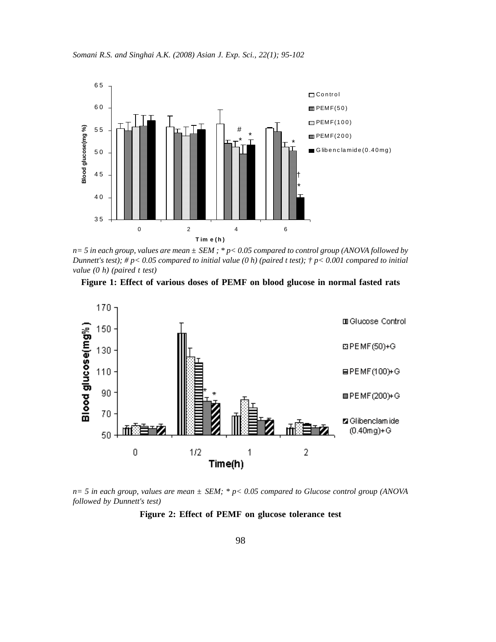



*n= 5 in each group, values are mean ± SEM ; \* p< 0.05 compared to control group (ANOVA followed by Dunnett's test); # p< 0.05 compared to initial value (0 h) (paired t test); † p< 0.001 compared to initial value (0 h) (paired t test)*





*n= 5 in each group, values are mean ± SEM; \* p< 0.05 compared to Glucose control group (ANOVA followed by Dunnett's test)*

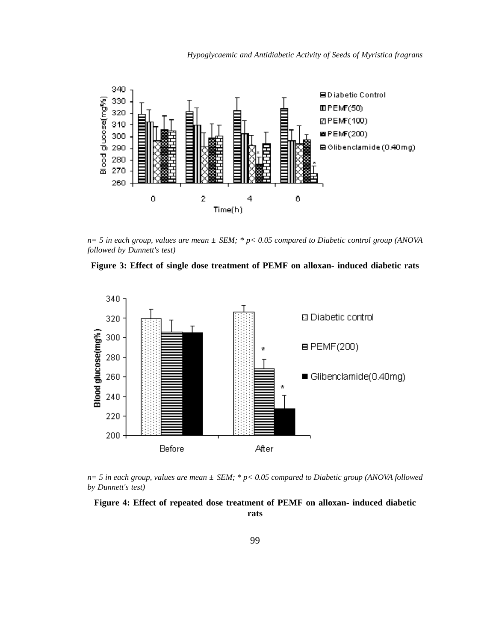*Hypoglycaemic and Antidiabetic Activity of Seeds of Myristica fragrans*



*n= 5 in each group, values are mean ± SEM; \* p< 0.05 compared to Diabetic control group (ANOVA followed by Dunnett's test)*





*n= 5 in each group, values are mean ± SEM; \* p< 0.05 compared to Diabetic group (ANOVA followed by Dunnett's test)*

### **Figure 4: Effect of repeated dose treatment of PEMF on alloxan- induced diabetic rats**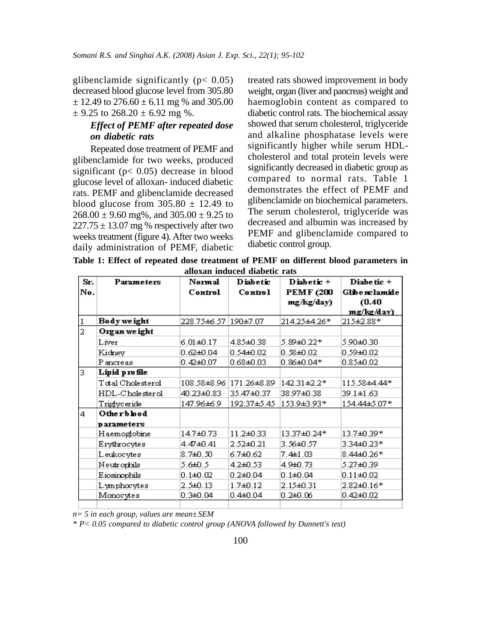glibenclamide significantly  $(p < 0.05)$ decreased blood glucose level from 305.80  $\pm$  12.49 to 276.60  $\pm$  6.11 mg % and 305.00  $\pm$  9.25 to 268.20  $\pm$  6.92 mg %.

# *Effect of PEMF after repeated dose on diabetic rats*

Repeated dose treatment of PEMF and glibenclamide for two weeks, produced significant ( $p < 0.05$ ) decrease in blood glucose level of alloxan- induced diabetic rats. PEMF and glibenclamide decreased blood glucose from  $305.80 \pm 12.49$  to  $268.00 \pm 9.60$  mg%, and  $305.00 \pm 9.25$  to  $227.75 \pm 13.07$  mg % respectively after two weeks treatment (figure 4). After two weeks daily administration of PEMF, diabetic treated rats showed improvement in body weight, organ (liver and pancreas) weight and haemoglobin content as compared to diabetic control rats. The biochemical assay showed that serum cholesterol, triglyceride and alkaline phosphatase levels were significantly higher while serum HDLcholesterol and total protein levels were significantly decreased in diabetic group as compared to normal rats. Table 1 demonstrates the effect of PEMF and glibenclamide on biochemical parameters. The serum cholesterol, triglyceride was decreased and albumin was increased by PEMF and glibenclamide compared to diabetic control group.

**Table 1: Effect of repeated dose treatment of PEMF on different blood parameters in alloxan induced diabetic rats**

| Sr.            | Parameters        | Normal               | <b>Diabetic</b> | Diabetic $+$     | Diabe tic +   |
|----------------|-------------------|----------------------|-----------------|------------------|---------------|
| No.            |                   | Control              | Control         | <b>PEMF (200</b> | Glibenclamide |
|                |                   |                      |                 | mg/kg/day)       | (0.40)        |
|                |                   |                      |                 |                  | mg/kg/day)    |
|                | Body we ight      | 228.75±6.57 190±7.07 |                 | 214.25±4.26*     | 215±2.88*     |
| $\overline{a}$ | Organ we ight     |                      |                 |                  |               |
|                | Liver             | $6.01 + 0.17$        | 4.85±0.38       | 5.89±0.22*       | 5.90±0.30     |
|                | Kidney            | $0.62$ ± $0.04$      | 0.54±0.02       | $0.38 + 0.02$    | 0.59±0.02     |
|                | P ancreas         | $0.42 + 0.07$        | $0.68 + 0.03$   | $0.86 \pm 0.04*$ | 0.85±0.02     |
| 3              | Lipid profile     |                      |                 |                  |               |
|                | Total Cholesterol | 108.58±8.96          | 171.26±8.89     | 142.31±2.2*      | 115.58±4.44*  |
|                | HDL-C'holester ol | 40.23±0.83           | 35.47±0.37      | 38.97±0.38       | 39.1±1.63     |
|                | Triglyceride      | 147.96±6.9           | 192.37±5.45     | 153.9±3.93*      | 154.44±5.07*  |
| 4              | Otherblood        |                      |                 |                  |               |
|                | parameters        |                      |                 |                  |               |
|                | Haemoglobine      | 14.7±0.73            | 11.2±0.33       | 13.37±0.24*      | 13.7±0.39*    |
|                | Erythrocytes      | 4.47±0.41            | 2.52±0.21       | 3.56±0.57        | 3.34±0.23*    |
|                | Leukocytes        | $8.7 \pm 0.50$       | 6.7±0.62        | $7.4 \pm 1.03$   | 8.44±0.26*    |
|                | Neutrophils       | 5.6±0.5              | 4.2±0.53        | 4.9±0.73         | 5.27±0.39     |
|                | Eiosinophils      | $0.1 + 0.02$         | $0.2 + 0.04$    | $0.1 + 0.04$     | $0.11 + 0.02$ |
|                | Lymphocytes       | $2.5 \pm 0.13$       | $1.7 + 0.12$    | $2.15 + 0.31$    | 2.82±0.16*    |
|                | Monocytes         | $0.3 + 0.04$         | $0.4$ ± $0.04$  | $0.2\pm0.06$     | 0.42±0.02     |
|                |                   |                      |                 |                  |               |

*n= 5 in each group, values are mean±SEM*

*\* P< 0.05 compared to diabetic control group (ANOVA followed by Dunnett's test)*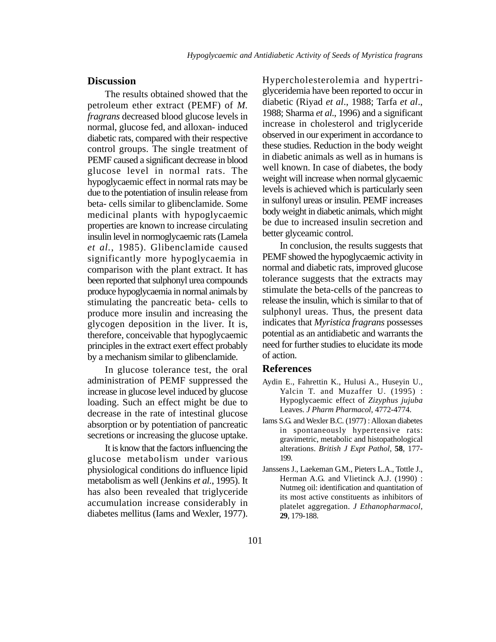# **Discussion**

The results obtained showed that the petroleum ether extract (PEMF) of *M. fragrans* decreased blood glucose levels in normal, glucose fed, and alloxan- induced diabetic rats, compared with their respective control groups. The single treatment of PEMF caused a significant decrease in blood glucose level in normal rats. The hypoglycaemic effect in normal rats may be due to the potentiation of insulin release from beta- cells similar to glibenclamide. Some medicinal plants with hypoglycaemic properties are known to increase circulating insulin level in normoglycaemic rats (Lamela *et al.*, 1985). Glibenclamide caused significantly more hypoglycaemia in comparison with the plant extract. It has been reported that sulphonyl urea compounds produce hypoglycaemia in normal animals by stimulating the pancreatic beta- cells to produce more insulin and increasing the glycogen deposition in the liver. It is, therefore, conceivable that hypoglycaemic principles in the extract exert effect probably by a mechanism similar to glibenclamide.

In glucose tolerance test, the oral administration of PEMF suppressed the increase in glucose level induced by glucose loading. Such an effect might be due to decrease in the rate of intestinal glucose absorption or by potentiation of pancreatic secretions or increasing the glucose uptake.

It is know that the factors influencing the glucose metabolism under various physiological conditions do influence lipid metabolism as well (Jenkins *et al.*, 1995). It has also been revealed that triglyceride accumulation increase considerably in diabetes mellitus (Iams and Wexler, 1977).

Hypercholesterolemia and hypertriglyceridemia have been reported to occur in diabetic (Riyad *et al*., 1988; Tarfa *et al*., 1988; Sharma *et al*., 1996) and a significant increase in cholesterol and triglyceride observed in our experiment in accordance to these studies. Reduction in the body weight in diabetic animals as well as in humans is well known. In case of diabetes, the body weight will increase when normal glycaemic levels is achieved which is particularly seen in sulfonyl ureas or insulin. PEMF increases body weight in diabetic animals, which might be due to increased insulin secretion and better glyceamic control.

In conclusion, the results suggests that PEMF showed the hypoglycaemic activity in normal and diabetic rats, improved glucose tolerance suggests that the extracts may stimulate the beta-cells of the pancreas to release the insulin, which is similar to that of sulphonyl ureas. Thus, the present data indicates that *Myristica fragrans* possesses potential as an antidiabetic and warrants the need for further studies to elucidate its mode of action.

#### **References**

- Aydin E., Fahrettin K., Hulusi A., Huseyin U., Yalcin T. and Muzaffer U. (1995) : Hypoglycaemic effect of *Zizyphus jujuba* Leaves. *J Pharm Pharmacol*, 4772-4774.
- Iams S.G. and Wexler B.C. (1977) : Alloxan diabetes in spontaneously hypertensive rats: gravimetric, metabolic and histopathological alterations. *British J Expt Pathol*, **58**, 177- 199.
- Janssens J., Laekeman G.M., Pieters L.A., Tottle J., Herman A.G. and Vlietinck A.J. (1990) : Nutmeg oil: identification and quantitation of its most active constituents as inhibitors of platelet aggregation. *J Ethanopharmacol*, **29**, 179-188.